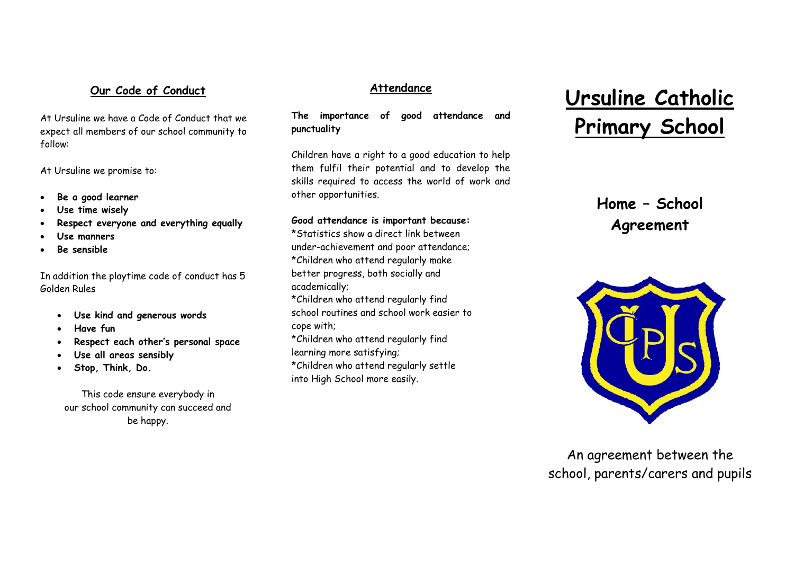### **Our Code of Conduct**

At Ursuline we have a Code of Conduct that we expect all members of our school community to follow:

At Ursuline we promise to:

- **Be a good learner**
- **Use time wisely**
- **Respect everyone and everything equally**
- **Use manners**
- **Be sensible**

In addition the playtime code of conduct has 5 Golden Rules

- **Use kind and generous words**
- **Have fun**
- **Respect each other's personal space**
- **Use all areas sensibly**
- **Stop, Think, Do.**

This code ensure everybody in our school community can succeed and be happy.

#### **Attendance**

**The importance of good attendance and punctuality**

Children have a right to a good education to help them fulfil their potential and to develop the skills required to access the world of work and other opportunities.

#### **Good attendance is important because:**

\*Statistics show a direct link between under-achievement and poor attendance; \*Children who attend regularly make better progress, both socially and academically;

\*Children who attend regularly find school routines and school work easier to cope with;

\*Children who attend regularly find learning more satisfying;

\*Children who attend regularly settle into High School more easily.

# **Ursuline Catholic Primary School**

# **Home – School Agreement**



An agreement between the school, parents/carers and pupils